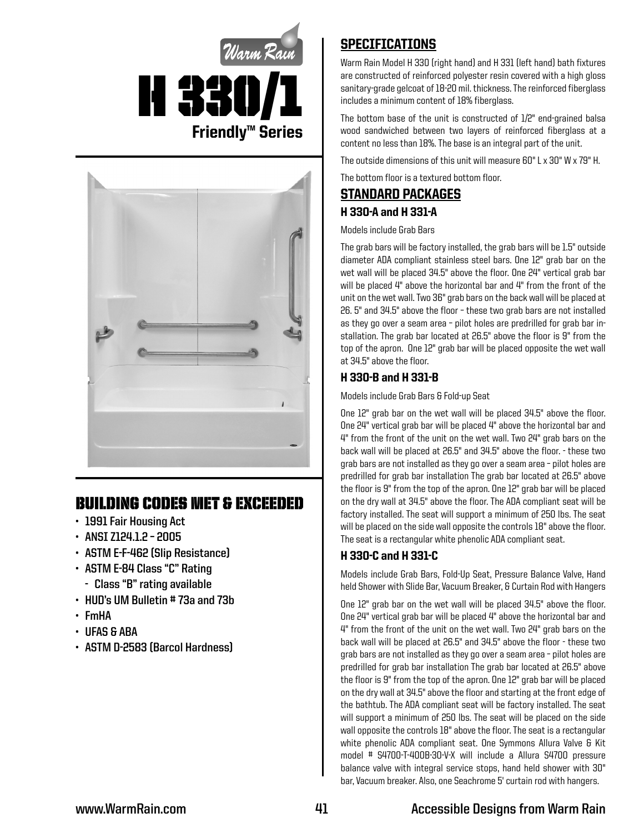



## Building Codes Met & EXCEEDED

- **• 1991 Fair Housing Act**
- **• ANSI Z124.1.2 2005**
- **• ASTM E-F-462 (Slip Resistance)**
- **• ASTM E-84 Class "C" Rating**
	- **- Class "B" rating available**
- **• HUD's UM Bulletin # 73a and 73b**
- **• FmHA**
- **• UFAS & ABA**
- **• ASTM D-2583 (Barcol Hardness)**

## SPECIFICATIONS

Warm Rain Model H 330 (right hand) and H 331 (left hand) bath fixtures are constructed of reinforced polyester resin covered with a high gloss sanitary-grade gelcoat of 18-20 mil. thickness. The reinforced fiberglass includes a minimum content of 18% fiberglass.

The bottom base of the unit is constructed of 1/2" end-grained balsa wood sandwiched between two layers of reinforced fiberglass at a content no less than 18%. The base is an integral part of the unit.

The outside dimensions of this unit will measure 60" L x 30" W x 79" H.

The bottom floor is a textured bottom floor.

# STANDARD PACKAGES H 330-A and H 331-A

Models include Grab Bars

The grab bars will be factory installed, the grab bars will be 1.5" outside diameter ADA compliant stainless steel bars. One 12" grab bar on the wet wall will be placed 34.5" above the floor. One 24" vertical grab bar will be placed 4" above the horizontal bar and 4" from the front of the unit on the wet wall. Two 36" grab bars on the back wall will be placed at 26. 5" and 34.5" above the floor – these two grab bars are not installed as they go over a seam area – pilot holes are predrilled for grab bar installation. The grab bar located at 26.5" above the floor is 9" from the top of the apron. One 12" grab bar will be placed opposite the wet wall at 34.5" above the floor.

### H 330-B and H 331-B

Models include Grab Bars & Fold-up Seat

One 12" grab bar on the wet wall will be placed 34.5" above the floor. One 24" vertical grab bar will be placed 4" above the horizontal bar and 4" from the front of the unit on the wet wall. Two 24" grab bars on the back wall will be placed at 26.5" and 34.5" above the floor. - these two grab bars are not installed as they go over a seam area – pilot holes are predrilled for grab bar installation The grab bar located at 26.5" above the floor is 9" from the top of the apron. One 12" grab bar will be placed on the dry wall at 34.5" above the floor. The ADA compliant seat will be factory installed. The seat will support a minimum of 250 lbs. The seat will be placed on the side wall opposite the controls 18" above the floor. The seat is a rectangular white phenolic ADA compliant seat.

#### H 330-C and H 331-C

Models include Grab Bars, Fold-Up Seat, Pressure Balance Valve, Hand held Shower with Slide Bar, Vacuum Breaker, & Curtain Rod with Hangers

One 12" grab bar on the wet wall will be placed 34.5" above the floor. One 24" vertical grab bar will be placed 4" above the horizontal bar and 4" from the front of the unit on the wet wall. Two 24" grab bars on the back wall will be placed at 26.5" and 34.5" above the floor - these two grab bars are not installed as they go over a seam area – pilot holes are predrilled for grab bar installation The grab bar located at 26.5" above the floor is 9" from the top of the apron. One 12" grab bar will be placed on the dry wall at 34.5" above the floor and starting at the front edge of the bathtub. The ADA compliant seat will be factory installed. The seat will support a minimum of 250 lbs. The seat will be placed on the side wall opposite the controls 18" above the floor. The seat is a rectangular white phenolic ADA compliant seat. One Symmons Allura Valve & Kit model # S4700-T-400B-30-V-X will include a Allura S4700 pressure balance valve with integral service stops, hand held shower with 30" bar, Vacuum breaker. Also, one Seachrome 5' curtain rod with hangers.

## **www.WarmRain.com 41 Accessible Designs from Warm Rain**